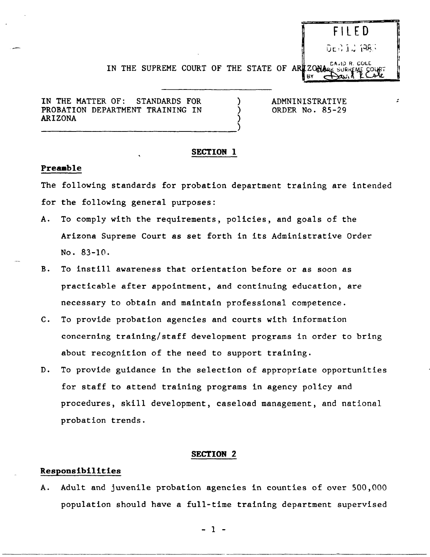# F I LED DES 12 1983 IN THE SUPREME COURT OF THE STATE OF ARE ZONARY SURREME COURT

IN THE MATTER OF: STANDARDS FOR PROBATION DEPARTMENT TRAINING IN ARIZONA

------------------------------------)

ADMNINISTRATIVE ORDER No. 85-29 :

### SECTION I

) ) )

# Preamble

The following standards for probation department training are intended for the following general purposes:

- A. To comply with the requirements, policies, and goals of the Arizona Supreme Court as set forth in its Administrative Order No. 83-10.
- B. To instill awareness that orientation before or as soon as practicable after appointment, and continuing education, are necessary to obtain and maintain professional competence.
- C. To provide probation agencies and courts with information concerning training/staff development programs in order to bring about recognition of the need to support training.
- D. To provide guidance in the selection of appropriate opportunities for staff to attend training programs in agency policy and procedures, skill development, caseload management, and national probation trends.

#### SECTION 2

## Responsibilities

A. Adult and juvenile probation agencies in counties of over 500,000 population should have a full-time training department supervised

- 1 -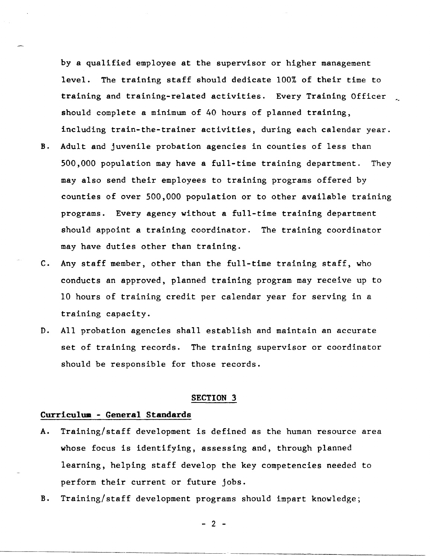by a qualified employee at the supervisor or higher management level. The training staff should dedicate 100% of their time to training and training-related activities. Every Training Officer should complete a minimum of 40 hours of planned training, including train-the-trainer activities, during each calendar year.

- B. Adult and juvenile probation agencies in counties of less than 500,000 population may have a full-time training department. They may also send their employees to training programs offered by counties of over 500,000 population or to other available training programs. Every agency without a full-time training department should appoint a training coordinator. The training coordinator may have duties other than training.
- C. Any staff member, other than the full-time training staff, who conducts an approved, planned training program may receive up to 10 hours of training credit per calendar year for serving in a training capacity.
- D. All probation agencies shall establish and maintain an accurate set of training records. The training supervisor or coordinator should be responsible for those records.

### SECTION 3

# **Curriculum - General Standards**

- A. Training/staff development is defined as the human resource area whose focus is identifying, assessing and, through planned learning, helping staff develop the key competencies needed to perform their current or future jobs.
- B. Training/staff development programs should impart knowledge;

 $- 2 -$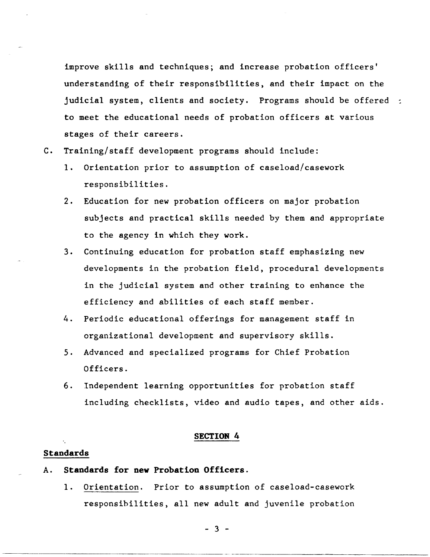improve skills and techniques; and increase probation officers' understanding of their responsibilities, and their impact on the judicial system, clients and society. Programs should be offered : to meet the educational needs of probation officers at various stages of their careers.

- C. Training/staff development programs should include:
	- 1. Orientation prior to assumption of caseload/casework responsibilities.
	- 2. Education for new probation officers on major probation subjects and practical skills needed by them and appropriate to the agency in which they work.
	- 3. Continuing education for probation staff emphasizing new developments in the probation field, procedural developments in the judicial system and other training to enhance the efficiency and abilities of each staff member.
	- 4. Periodic educational offerings for management staff in organizational development and supervisory skills.
	- 5. Advanced and specialized programs for Chief Probation Officers.
	- 6. Independent learning opportunities for probation staff including checklists, video and audio tapes, and other aids.

#### **SECTION 4**

## **Standards**

- A. **Standards for new Probation Officers.** 
	- 1. Orientation. Prior to assumption of caseload-casework responsihilities, all new adult and juvenile probation

 $-3 -$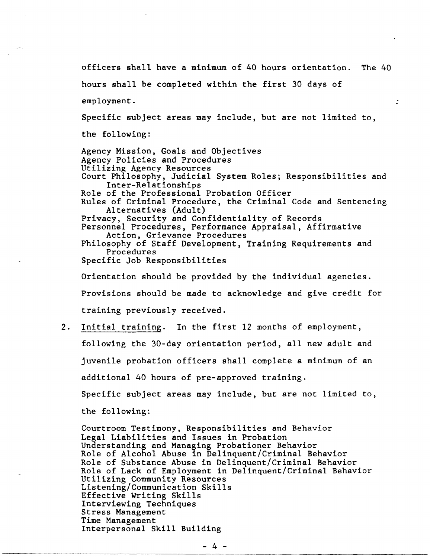officers shall have a minimum of 40 hours orientation. The 40 hours shall be completed within the first 30 days of employment. Specific subject areas may include, but are not limited to, the following: Agency Mission, Goals and Objectives Agency Policies and Procedures Utilizing Agency Resources Court Philosophy, Judicial System Roles; Responsibilities and Inter-Relationships Role of the Professional Probation Officer Rules of Criminal Procedure, the Criminal Code and Sentencing Alternatives (Adult) Privacy, Security and Confidentiality of Records Personnel Procedures, Performance Appraisal, Affirmative Action, Grievance Procedures Philosophy of Staff Development, Training Requirements and Procedures Specific Job Responsibilities Orientation should be provided by the individual agencies. Provisions should be made to acknowledge and give credit for training previously received. 2. Initial training. In the first 12 months of employment, following the 30-day orientation period, all new adult and juvenile probation officers shall complete a minimum of an additional 40 hours of pre-approved training. Specific subject areas may include, but are not limited to, the following:

Courtroom Testimony, Responsibilities and Behavior Legal Liabilities and Issues in Probation Understanding and Managing Probationer Behavior Role of Alcohol Abuse in Delinquent/Criminal Behavior Role of Substance Abuse in Delinquent/Criminal Behavior Role of Lack of Employment in Delinquent/Criminal Behavior Utilizing Community Resources Listening/Communication Skills Effective Writing Skills Interviewing Techniques Stress Management Time Management Interpersonal Skill Building

 $-4$  -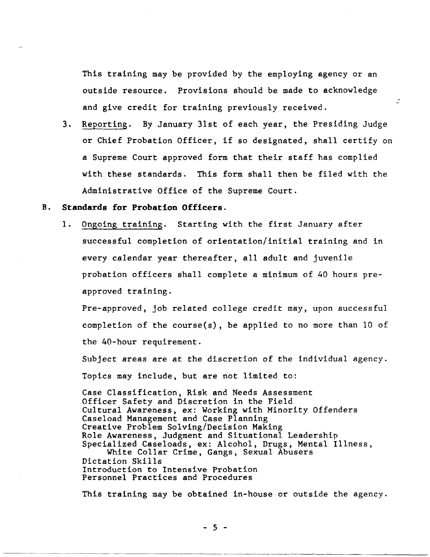This training may be provided by the employing agency or an outside resource. Provisions should be made to acknowledge and give credit for training previously received.

3. Reporting. By January 31st of each year, the Presiding Judge or Chief Probation Officer, if so designated, shall certify on a Supreme Court approved form that their staff has complied with these standards. This form shall then be filed with the Administrative Office of the Supreme Court.

## B. **Standards for Probation Officers.**

1. Ongoing training. Starting with the first January after successful completion of orientation/initial training and in every calendar year thereafter, all adult and juvenile probation officers shall complete a minimum of 40 hours preapproved training.

Pre-approved, job related college credit may, upon successful completion of the course(s), be applied to no more than 10 of the 40-hour requirement.

Subject areas are at the discretion of the individual agency. Topics may include, but are not limited to:

Case Classification, Risk and Needs Assessment Officer Safety and Discretion in the Field Cultural Awareness, ex: Working with Minority Offenders Caseload Management and Case Planning Creative Problem Solving/Decision Making Role Awareness, Judgment and Situational Leadership Specialized Caseloads, ex: Alcohol, Drugs, Mental Illness, White Collar Crime, Gangs, Sexual Abusers Dictation Skills Introduction to Intensive Probation Personnel Practices and Procedures

This training may be obtained in-house or outside the agency.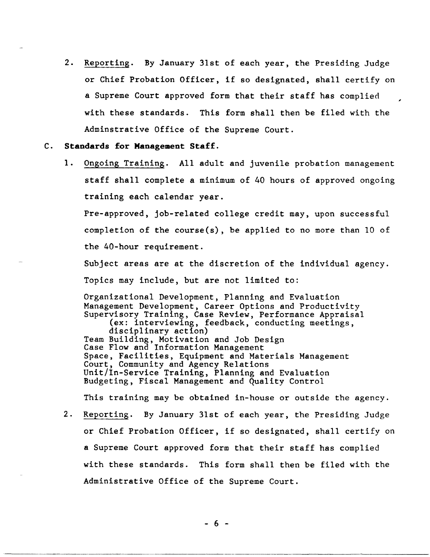2. Reporting. By January 31st of each year, the Presiding Judge or Chief Probation Officer, if so designated, shall certify on a Supreme Court approved form that their staff has complied with these standards. This form shall then be filed with the Adminstrative Office of the Supreme Court.

#### C. Standards for Management Staff.

1. Ongoing Training. All adult and juvenile probation management staff shall complete a minimum of 40 hours of approved ongoing training each calendar year.

Pre-approved, job-related college credit may, upon successful completion of the course(s), be applied to no more than 10 of the 40-hour requirement.

Subject areas are at the discretion of the individual agency.

Topics may include, but are not limited to:

Organizational Development, Planning and Evaluation Management Development, Career Options and Productivity Supervisory Training, Case Review, Performance Appraisal (ex: interviewing, feedback, conducting meetings, disciplinary action) Team Building, Motivation and Job Design Case Flow and Information Management Space, Facilities, Equipment and Materials Management Court, Community and Agency Relations Unit/In-Service Training, Planning and Evaluation Budgeting, Fiscal Management and Quality Control

This training may be obtained in-house or outside the agency.

2. Reporting. By January 31st of each year, the Presiding Judge or Chief Probation Officer, if so designated, shall certify on a Supreme Court approved form that their staff has complied with these standards. This form shall then be filed with the Administrative Office of the Supreme Court.